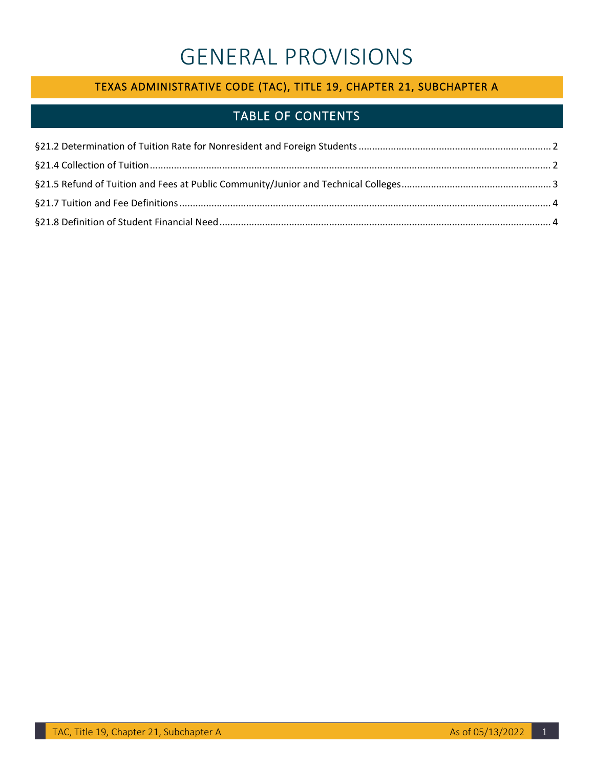# GENERAL PROVISIONS

## TEXAS ADMINISTRATIVE CODE (TAC), TITLE 19, CHAPTER 21, SUBCHAPTER A

# TABLE OF CONTENTS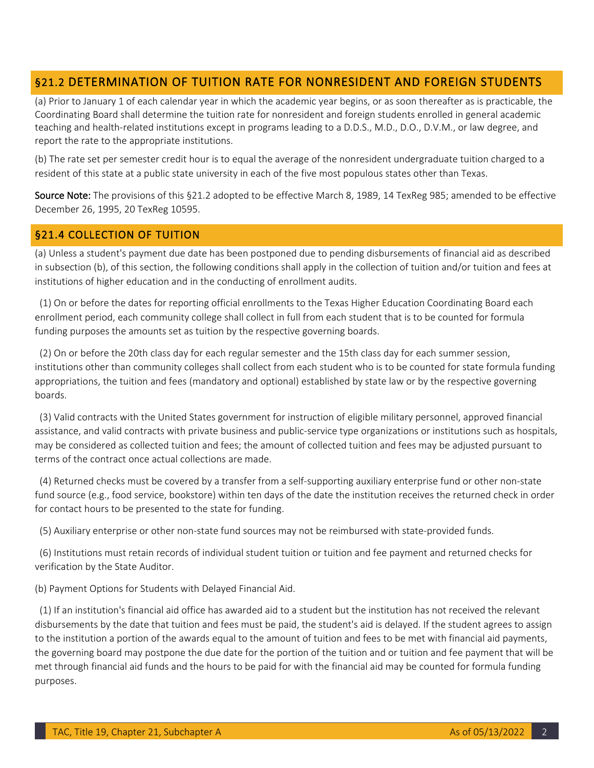### <span id="page-1-0"></span>§21.2 DETERMINATION OF TUITION RATE FOR NONRESIDENT AND FOREIGN STUDENTS

 (a) Prior to January 1 of each calendar year in which the academic year begins, or as soon thereafter as is practicable, the teaching and health-related institutions except in programs leading to a D.D.S., M.D., D.O., D.V.M., or law degree, and report the rate to the appropriate institutions. Coordinating Board shall determine the tuition rate for nonresident and foreign students enrolled in general academic

(b) The rate set per semester credit hour is to equal the average of the nonresident undergraduate tuition charged to a resident of this state at a public state university in each of the five most populous states other than Texas.

Source Note: The provisions of this §21.2 adopted to be effective March 8, 1989, 14 TexReg 985; amended to be effective December 26, 1995, 20 TexReg 10595.

#### <span id="page-1-1"></span>§21.4 COLLECTION OF TUITION

(a) Unless a student's payment due date has been postponed due to pending disbursements of financial aid as described in subsection (b), of this section, the following conditions shall apply in the collection of tuition and/or tuition and fees at institutions of higher education and in the conducting of enrollment audits.

(1) On or before the dates for reporting official enrollments to the Texas Higher Education Coordinating Board each enrollment period, each community college shall collect in full from each student that is to be counted for formula funding purposes the amounts set as tuition by the respective governing boards.

 appropriations, the tuition and fees (mandatory and optional) established by state law or by the respective governing boards. (2) On or before the 20th class day for each regular semester and the 15th class day for each summer session, institutions other than community colleges shall collect from each student who is to be counted for state formula funding

 may be considered as collected tuition and fees; the amount of collected tuition and fees may be adjusted pursuant to terms of the contract once actual collections are made. boards. (3) Valid contracts with the United States government for instruction of eligible military personnel, approved financial assistance, and valid contracts with private business and public-service type organizations or institutions such as hospitals,

(4) Returned checks must be covered by a transfer from a self-supporting auxiliary enterprise fund or other non-state fund source (e.g., food service, bookstore) within ten days of the date the institution receives the returned check in order for contact hours to be presented to the state for funding.

(5) Auxiliary enterprise or other non-state fund sources may not be reimbursed with state-provided funds.

 verification by the State Auditor. (6) Institutions must retain records of individual student tuition or tuition and fee payment and returned checks for

(b) Payment Options for Students with Delayed Financial Aid.

 disbursements by the date that tuition and fees must be paid, the student's aid is delayed. If the student agrees to assign to the institution a portion of the awards equal to the amount of tuition and fees to be met with financial aid payments, the governing board may postpone the due date for the portion of the tuition and or tuition and fee payment that will be met through financial aid funds and the hours to be paid for with the financial aid may be counted for formula funding purposes. (1) If an institution's financial aid office has awarded aid to a student but the institution has not received the relevant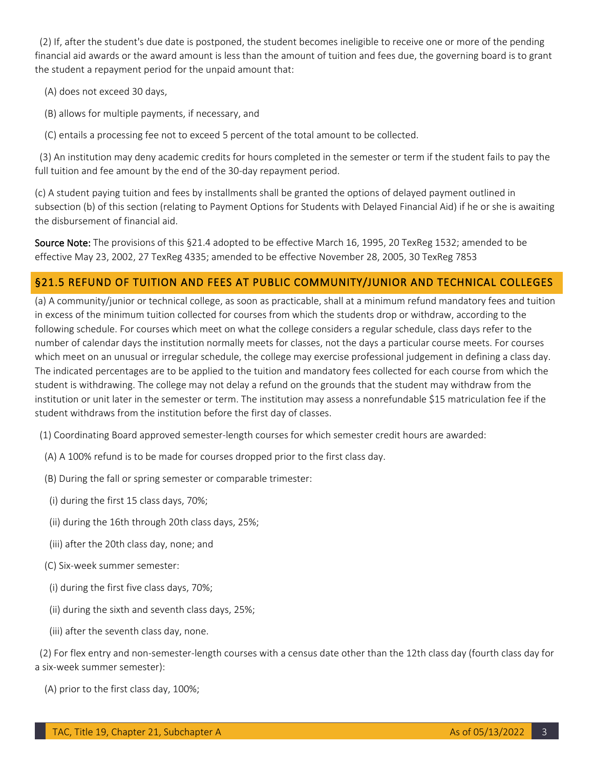financial aid awards or the award amount is less than the amount of tuition and fees due, the governing board is to grant (2) If, after the student's due date is postponed, the student becomes ineligible to receive one or more of the pending the student a repayment period for the unpaid amount that:

- (A) does not exceed 30 days,
- (B) allows for multiple payments, if necessary, and

(C) entails a processing fee not to exceed 5 percent of the total amount to be collected.

 full tuition and fee amount by the end of the 30-day repayment period. (3) An institution may deny academic credits for hours completed in the semester or term if the student fails to pay the

 (c) A student paying tuition and fees by installments shall be granted the options of delayed payment outlined in subsection (b) of this section (relating to Payment Options for Students with Delayed Financial Aid) if he or she is awaiting the disbursement of financial aid.

Source Note: The provisions of this §21.4 adopted to be effective March 16, 1995, 20 TexReg 1532; amended to be effective May 23, 2002, 27 TexReg 4335; amended to be effective November 28, 2005, 30 TexReg 7853

#### <span id="page-2-0"></span>§21.5 REFUND OF TUITION AND FEES AT PUBLIC COMMUNITY/JUNIOR AND TECHNICAL COLLEGES

 (a) A community/junior or technical college, as soon as practicable, shall at a minimum refund mandatory fees and tuition in excess of the minimum tuition collected for courses from which the students drop or withdraw, according to the number of calendar days the institution normally meets for classes, not the days a particular course meets. For courses which meet on an unusual or irregular schedule, the college may exercise professional judgement in defining a class day. student is withdrawing. The college may not delay a refund on the grounds that the student may withdraw from the student withdraws from the institution before the first day of classes. following schedule. For courses which meet on what the college considers a regular schedule, class days refer to the The indicated percentages are to be applied to the tuition and mandatory fees collected for each course from which the institution or unit later in the semester or term. The institution may assess a nonrefundable \$15 matriculation fee if the

(1) Coordinating Board approved semester-length courses for which semester credit hours are awarded:

- (A) A 100% refund is to be made for courses dropped prior to the first class day.
- (B) During the fall or spring semester or comparable trimester:
- (i) during the first 15 class days, 70%;
- (ii) during the 16th through 20th class days, 25%;
- (iii) after the 20th class day, none; and
- (C) Six-week summer semester:
- (i) during the first five class days, 70%;
- (ii) during the sixth and seventh class days, 25%;
- (iii) after the seventh class day, none.

(2) For flex entry and non-semester-length courses with a census date other than the 12th class day (fourth class day for a six-week summer semester):

(A) prior to the first class day, 100%;